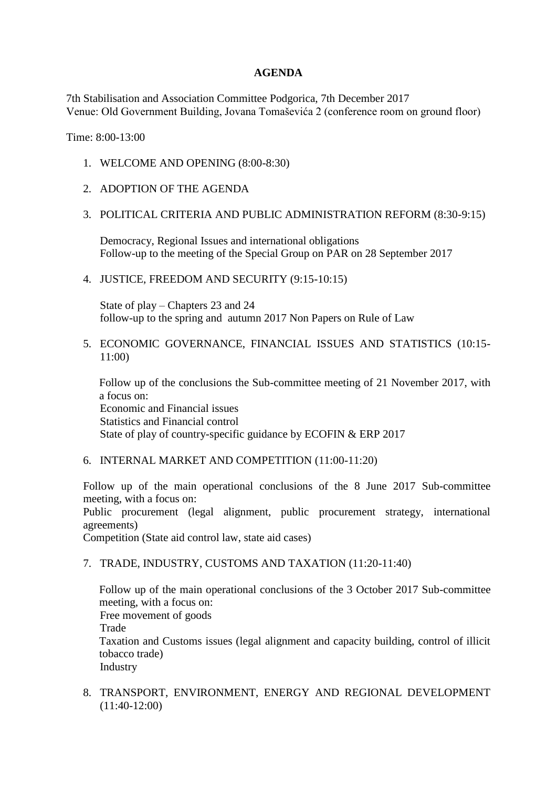## **AGENDA**

7th Stabilisation and Association Committee Podgorica, 7th December 2017 Venue: Old Government Building, Jovana Tomaševića 2 (conference room on ground floor)

Time: 8:00-13:00

- 1. WELCOME AND OPENING (8:00-8:30)
- 2. ADOPTION OF THE AGENDA

## 3. POLITICAL CRITERIA AND PUBLIC ADMINISTRATION REFORM (8:30-9:15)

Democracy, Regional Issues and international obligations Follow-up to the meeting of the Special Group on PAR on 28 September 2017

4. JUSTICE, FREEDOM AND SECURITY (9:15-10:15)

State of play – Chapters 23 and 24 follow-up to the spring and autumn 2017 Non Papers on Rule of Law

5. ECONOMIC GOVERNANCE, FINANCIAL ISSUES AND STATISTICS (10:15- 11:00)

Follow up of the conclusions the Sub-committee meeting of 21 November 2017, with a focus on: Economic and Financial issues Statistics and Financial control State of play of country-specific guidance by ECOFIN & ERP 2017

6. INTERNAL MARKET AND COMPETITION (11:00-11:20)

Follow up of the main operational conclusions of the 8 June 2017 Sub-committee meeting, with a focus on:

Public procurement (legal alignment, public procurement strategy, international agreements)

Competition (State aid control law, state aid cases)

7. TRADE, INDUSTRY, CUSTOMS AND TAXATION (11:20-11:40)

Follow up of the main operational conclusions of the 3 October 2017 Sub-committee meeting, with a focus on:

Free movement of goods

Trade

Taxation and Customs issues (legal alignment and capacity building, control of illicit tobacco trade)

Industry

8. TRANSPORT, ENVIRONMENT, ENERGY AND REGIONAL DEVELOPMENT (11:40-12:00)